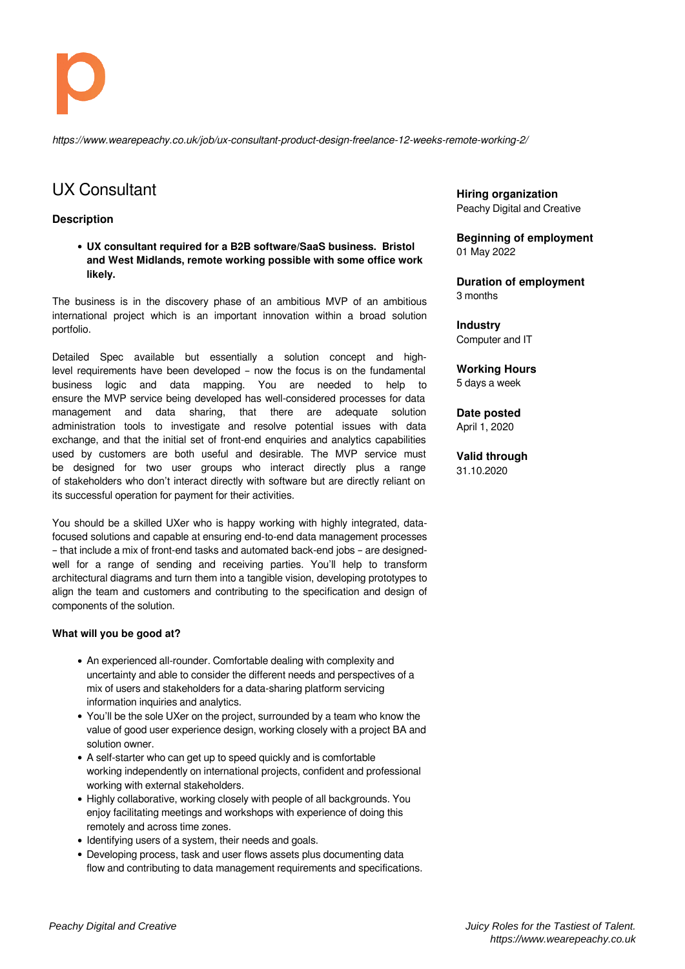

*https://www.wearepeachy.co.uk/job/ux-consultant-product-design-freelance-12-weeks-remote-working-2/*

## UX Consultant

## **Description**

**UX consultant required for a B2B software/SaaS business. Bristol and West Midlands, remote working possible with some office work likely.**

The business is in the discovery phase of an ambitious MVP of an ambitious international project which is an important innovation within a broad solution portfolio.

Detailed Spec available but essentially a solution concept and highlevel requirements have been developed – now the focus is on the fundamental business logic and data mapping. You are needed to help to ensure the MVP service being developed has well-considered processes for data management and data sharing, that there are adequate solution administration tools to investigate and resolve potential issues with data exchange, and that the initial set of front-end enquiries and analytics capabilities used by customers are both useful and desirable. The MVP service must be designed for two user groups who interact directly plus a range of stakeholders who don't interact directly with software but are directly reliant on its successful operation for payment for their activities.

You should be a skilled UXer who is happy working with highly integrated, datafocused solutions and capable at ensuring end-to-end data management processes – that include a mix of front-end tasks and automated back-end jobs – are designedwell for a range of sending and receiving parties. You'll help to transform architectural diagrams and turn them into a tangible vision, developing prototypes to align the team and customers and contributing to the specification and design of components of the solution.

## **What will you be good at?**

- An experienced all-rounder. Comfortable dealing with complexity and uncertainty and able to consider the different needs and perspectives of a mix of users and stakeholders for a data-sharing platform servicing information inquiries and analytics.
- You'll be the sole UXer on the project, surrounded by a team who know the value of good user experience design, working closely with a project BA and solution owner.
- A self-starter who can get up to speed quickly and is comfortable working independently on international projects, confident and professional working with external stakeholders.
- Highly collaborative, working closely with people of all backgrounds. You enjoy facilitating meetings and workshops with experience of doing this remotely and across time zones.
- Identifying users of a system, their needs and goals.
- Developing process, task and user flows assets plus documenting data flow and contributing to data management requirements and specifications.

**Hiring organization** Peachy Digital and Creative

**Beginning of employment** 01 May 2022

**Duration of employment** 3 months

**Industry** Computer and IT

**Working Hours** 5 days a week

**Date posted** April 1, 2020

**Valid through**

31.10.2020